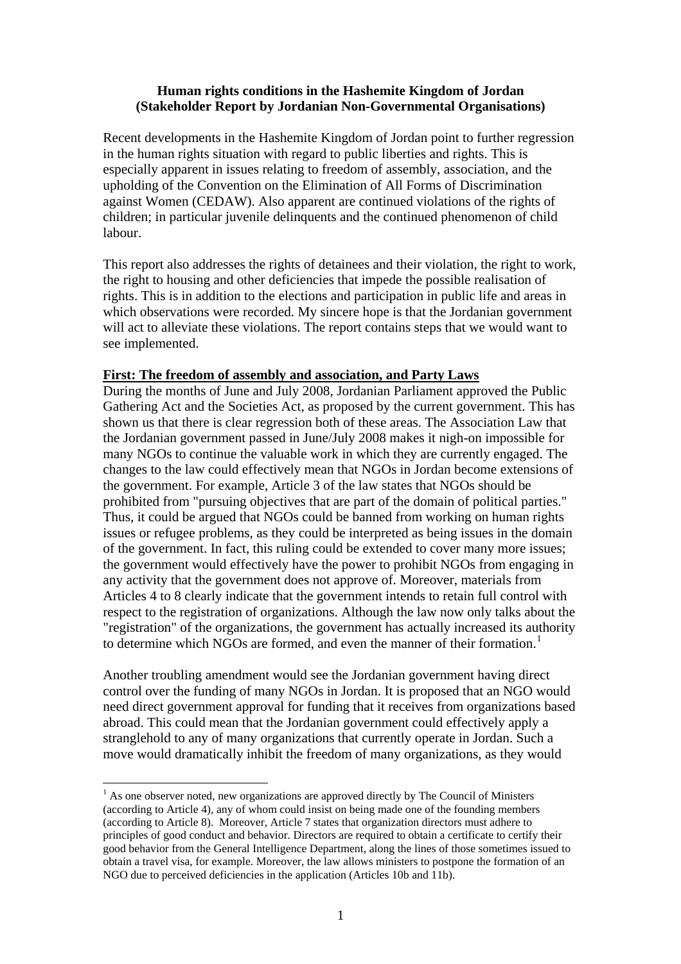### **Human rights conditions in the Hashemite Kingdom of Jordan (Stakeholder Report by Jordanian Non-Governmental Organisations)**

Recent developments in the Hashemite Kingdom of Jordan point to further regression in the human rights situation with regard to public liberties and rights. This is especially apparent in issues relating to freedom of assembly, association, and the upholding of the Convention on the Elimination of All Forms of Discrimination against Women (CEDAW). Also apparent are continued violations of the rights of children; in particular juvenile delinquents and the continued phenomenon of child labour.

This report also addresses the rights of detainees and their violation, the right to work, the right to housing and other deficiencies that impede the possible realisation of rights. This is in addition to the elections and participation in public life and areas in which observations were recorded. My sincere hope is that the Jordanian government will act to alleviate these violations. The report contains steps that we would want to see implemented.

### **First: The freedom of assembly and association, and Party Laws**

During the months of June and July 2008, Jordanian Parliament approved the Public Gathering Act and the Societies Act, as proposed by the current government. This has shown us that there is clear regression both of these areas. The Association Law that the Jordanian government passed in June/July 2008 makes it nigh-on impossible for many NGOs to continue the valuable work in which they are currently engaged. The changes to the law could effectively mean that NGOs in Jordan become extensions of the government. For example, Article 3 of the law states that NGOs should be prohibited from "pursuing objectives that are part of the domain of political parties." Thus, it could be argued that NGOs could be banned from working on human rights issues or refugee problems, as they could be interpreted as being issues in the domain of the government. In fact, this ruling could be extended to cover many more issues; the government would effectively have the power to prohibit NGOs from engaging in any activity that the government does not approve of. Moreover, materials from Articles 4 to 8 clearly indicate that the government intends to retain full control with respect to the registration of organizations. Although the law now only talks about the "registration" of the organizations, the government has actually increased its authority to determine which NGOs are formed, and even the manner of their formation.<sup>[1](#page-0-0)</sup>

Another troubling amendment would see the Jordanian government having direct control over the funding of many NGOs in Jordan. It is proposed that an NGO would need direct government approval for funding that it receives from organizations based abroad. This could mean that the Jordanian government could effectively apply a stranglehold to any of many organizations that currently operate in Jordan. Such a move would dramatically inhibit the freedom of many organizations, as they would

 $\overline{a}$ 

<span id="page-0-0"></span> $<sup>1</sup>$  As one observer noted, new organizations are approved directly by The Council of Ministers</sup> (according to Article 4), any of whom could insist on being made one of the founding members (according to Article 8). Moreover, Article 7 states that organization directors must adhere to principles of good conduct and behavior. Directors are required to obtain a certificate to certify their good behavior from the General Intelligence Department, along the lines of those sometimes issued to obtain a travel visa, for example. Moreover, the law allows ministers to postpone the formation of an NGO due to perceived deficiencies in the application (Articles 10b and 11b).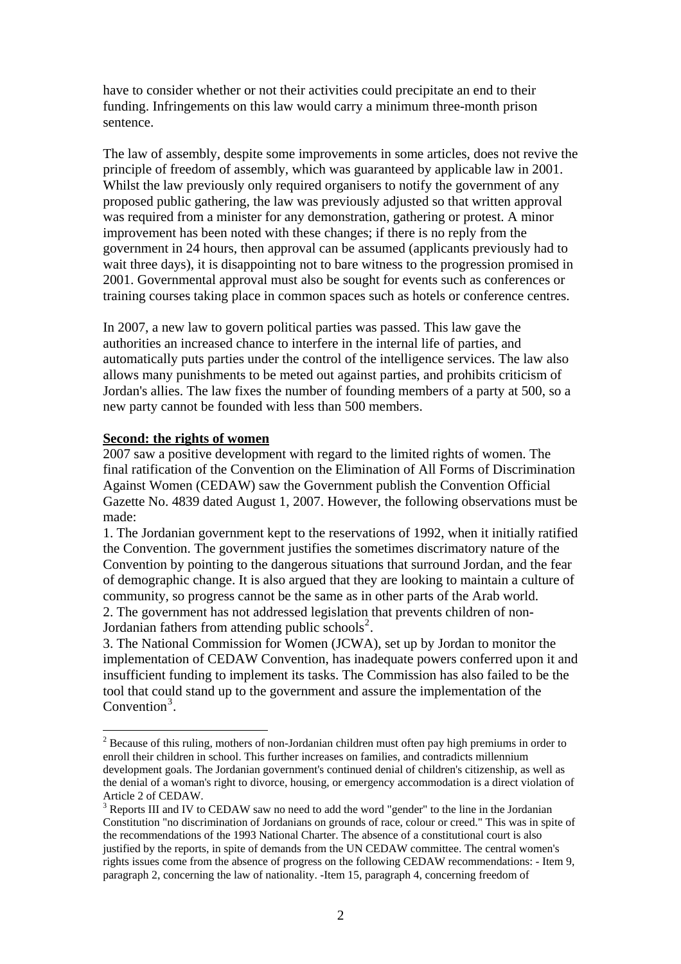have to consider whether or not their activities could precipitate an end to their funding. Infringements on this law would carry a minimum three-month prison sentence.

The law of assembly, despite some improvements in some articles, does not revive the principle of freedom of assembly, which was guaranteed by applicable law in 2001. Whilst the law previously only required organisers to notify the government of any proposed public gathering, the law was previously adjusted so that written approval was required from a minister for any demonstration, gathering or protest. A minor improvement has been noted with these changes; if there is no reply from the government in 24 hours, then approval can be assumed (applicants previously had to wait three days), it is disappointing not to bare witness to the progression promised in 2001. Governmental approval must also be sought for events such as conferences or training courses taking place in common spaces such as hotels or conference centres.

In 2007, a new law to govern political parties was passed. This law gave the authorities an increased chance to interfere in the internal life of parties, and automatically puts parties under the control of the intelligence services. The law also allows many punishments to be meted out against parties, and prohibits criticism of Jordan's allies. The law fixes the number of founding members of a party at 500, so a new party cannot be founded with less than 500 members.

#### **Second: the rights of women**

 $\overline{a}$ 

2007 saw a positive development with regard to the limited rights of women. The final ratification of the Convention on the Elimination of All Forms of Discrimination Against Women (CEDAW) saw the Government publish the Convention Official Gazette No. 4839 dated August 1, 2007. However, the following observations must be made:

1. The Jordanian government kept to the reservations of 1992, when it initially ratified the Convention. The government justifies the sometimes discrimatory nature of the Convention by pointing to the dangerous situations that surround Jordan, and the fear of demographic change. It is also argued that they are looking to maintain a culture of community, so progress cannot be the same as in other parts of the Arab world. 2. The government has not addressed legislation that prevents children of non-

Jordanian fathers from attending public schools<sup>[2](#page-1-0)</sup>.

3. The National Commission for Women (JCWA), set up by Jordan to monitor the implementation of CEDAW Convention, has inadequate powers conferred upon it and insufficient funding to implement its tasks. The Commission has also failed to be the tool that could stand up to the government and assure the implementation of the Convention<sup>[3](#page-1-1)</sup>.

<span id="page-1-0"></span> $2^{2}$  Because of this ruling, mothers of non-Jordanian children must often pay high premiums in order to enroll their children in school. This further increases on families, and contradicts millennium development goals. The Jordanian government's continued denial of children's citizenship, as well as the denial of a woman's right to divorce, housing, or emergency accommodation is a direct violation of Article 2 of CEDAW.

<span id="page-1-1"></span> $3$  Reports III and IV to CEDAW saw no need to add the word "gender" to the line in the Jordanian Constitution "no discrimination of Jordanians on grounds of race, colour or creed." This was in spite of the recommendations of the 1993 National Charter. The absence of a constitutional court is also justified by the reports, in spite of demands from the UN CEDAW committee. The central women's rights issues come from the absence of progress on the following CEDAW recommendations: - Item 9, paragraph 2, concerning the law of nationality. -Item 15, paragraph 4, concerning freedom of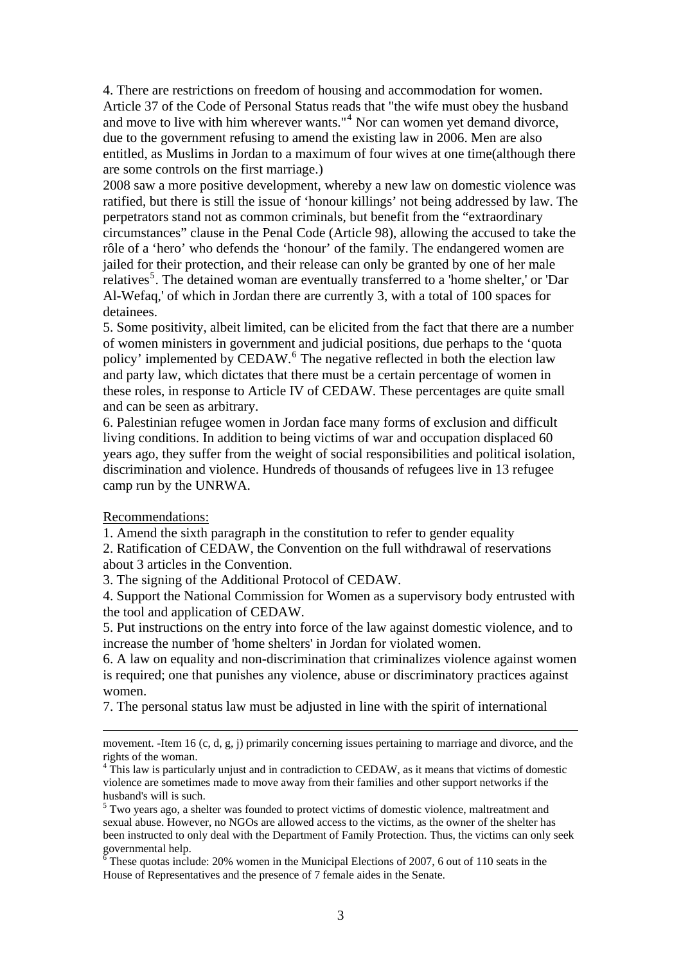4. There are restrictions on freedom of housing and accommodation for women. Article 37 of the Code of Personal Status reads that "the wife must obey the husband and move to live with him wherever wants."<sup>[4](#page-2-0)</sup> Nor can women yet demand divorce, due to the government refusing to amend the existing law in 2006. Men are also entitled, as Muslims in Jordan to a maximum of four wives at one time(although there are some controls on the first marriage.)

2008 saw a more positive development, whereby a new law on domestic violence was ratified, but there is still the issue of 'honour killings' not being addressed by law. The perpetrators stand not as common criminals, but benefit from the "extraordinary circumstances" clause in the Penal Code (Article 98), allowing the accused to take the rôle of a 'hero' who defends the 'honour' of the family. The endangered women are jailed for their protection, and their release can only be granted by one of her male relatives<sup>[5](#page-2-1)</sup>. The detained woman are eventually transferred to a 'home shelter,' or 'Dar Al-Wefaq,' of which in Jordan there are currently 3, with a total of 100 spaces for detainees.

5. Some positivity, albeit limited, can be elicited from the fact that there are a number of women ministers in government and judicial positions, due perhaps to the 'quota policy' implemented by CEDAW.<sup>[6](#page-2-2)</sup> The negative reflected in both the election law and party law, which dictates that there must be a certain percentage of women in these roles, in response to Article IV of CEDAW. These percentages are quite small and can be seen as arbitrary.

6. Palestinian refugee women in Jordan face many forms of exclusion and difficult living conditions. In addition to being victims of war and occupation displaced 60 years ago, they suffer from the weight of social responsibilities and political isolation, discrimination and violence. Hundreds of thousands of refugees live in 13 refugee camp run by the UNRWA.

Recommendations:

1. Amend the sixth paragraph in the constitution to refer to gender equality 2. Ratification of CEDAW, the Convention on the full withdrawal of reservations about 3 articles in the Convention.

3. The signing of the Additional Protocol of CEDAW.

4. Support the National Commission for Women as a supervisory body entrusted with the tool and application of CEDAW.

5. Put instructions on the entry into force of the law against domestic violence, and to increase the number of 'home shelters' in Jordan for violated women.

6. A law on equality and non-discrimination that criminalizes violence against women is required; one that punishes any violence, abuse or discriminatory practices against women.

7. The personal status law must be adjusted in line with the spirit of international

movement. -Item 16 (c, d, g, j) primarily concerning issues pertaining to marriage and divorce, and the rights of the woman.

<span id="page-2-0"></span><sup>&</sup>lt;sup>4</sup> This law is particularly unjust and in contradiction to CEDAW, as it means that victims of domestic violence are sometimes made to move away from their families and other support networks if the husband's will is such.

<span id="page-2-1"></span><sup>&</sup>lt;sup>5</sup> Two years ago, a shelter was founded to protect victims of domestic violence, maltreatment and sexual abuse. However, no NGOs are allowed access to the victims, as the owner of the shelter has been instructed to only deal with the Department of Family Protection. Thus, the victims can only seek governmental help.<br><sup>6</sup> These quotas include: 20% women in the Municipal Elections of 2007, 6 out of 110 seats in the

<span id="page-2-2"></span>House of Representatives and the presence of 7 female aides in the Senate.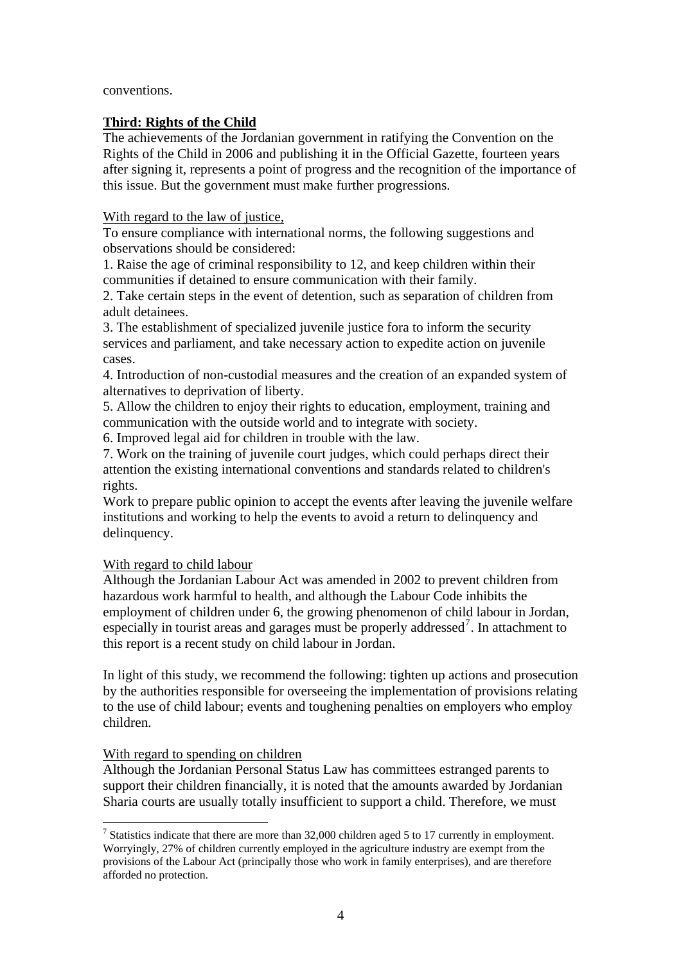conventions.

### **Third: Rights of the Child**

The achievements of the Jordanian government in ratifying the Convention on the Rights of the Child in 2006 and publishing it in the Official Gazette, fourteen years after signing it, represents a point of progress and the recognition of the importance of this issue. But the government must make further progressions.

With regard to the law of justice,

To ensure compliance with international norms, the following suggestions and observations should be considered:

1. Raise the age of criminal responsibility to 12, and keep children within their communities if detained to ensure communication with their family.

2. Take certain steps in the event of detention, such as separation of children from adult detainees.

3. The establishment of specialized juvenile justice fora to inform the security services and parliament, and take necessary action to expedite action on juvenile cases.

4. Introduction of non-custodial measures and the creation of an expanded system of alternatives to deprivation of liberty.

5. Allow the children to enjoy their rights to education, employment, training and communication with the outside world and to integrate with society.

6. Improved legal aid for children in trouble with the law.

7. Work on the training of juvenile court judges, which could perhaps direct their attention the existing international conventions and standards related to children's rights.

Work to prepare public opinion to accept the events after leaving the juvenile welfare institutions and working to help the events to avoid a return to delinquency and delinquency.

# With regard to child labour

Although the Jordanian Labour Act was amended in 2002 to prevent children from hazardous work harmful to health, and although the Labour Code inhibits the employment of children under 6, the growing phenomenon of child labour in Jordan, especially in tourist areas and garages must be properly addressed<sup>[7](#page-3-0)</sup>. In attachment to this report is a recent study on child labour in Jordan.

In light of this study, we recommend the following: tighten up actions and prosecution by the authorities responsible for overseeing the implementation of provisions relating to the use of child labour; events and toughening penalties on employers who employ children.

# With regard to spending on children

 $\overline{a}$ 

Although the Jordanian Personal Status Law has committees estranged parents to support their children financially, it is noted that the amounts awarded by Jordanian Sharia courts are usually totally insufficient to support a child. Therefore, we must

<span id="page-3-0"></span><sup>&</sup>lt;sup>7</sup> Statistics indicate that there are more than 32,000 children aged 5 to 17 currently in employment. Worryingly, 27% of children currently employed in the agriculture industry are exempt from the provisions of the Labour Act (principally those who work in family enterprises), and are therefore afforded no protection.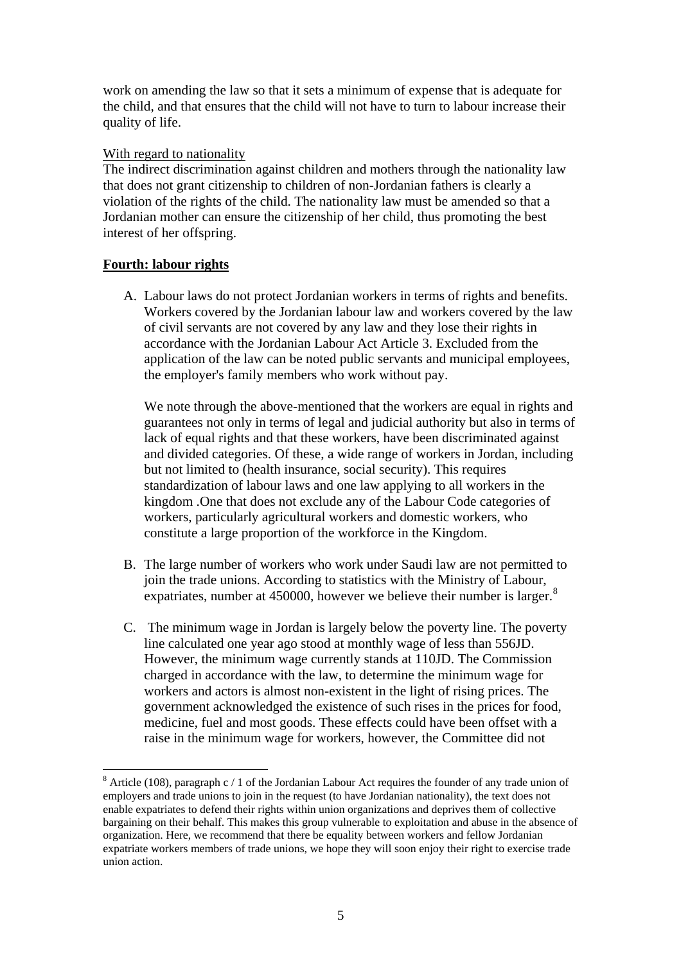work on amending the law so that it sets a minimum of expense that is adequate for the child, and that ensures that the child will not have to turn to labour increase their quality of life.

### With regard to nationality

The indirect discrimination against children and mothers through the nationality law that does not grant citizenship to children of non-Jordanian fathers is clearly a violation of the rights of the child. The nationality law must be amended so that a Jordanian mother can ensure the citizenship of her child, thus promoting the best interest of her offspring.

# **Fourth: labour rights**

 $\overline{a}$ 

A. Labour laws do not protect Jordanian workers in terms of rights and benefits. Workers covered by the Jordanian labour law and workers covered by the law of civil servants are not covered by any law and they lose their rights in accordance with the Jordanian Labour Act Article 3. Excluded from the application of the law can be noted public servants and municipal employees, the employer's family members who work without pay.

We note through the above-mentioned that the workers are equal in rights and guarantees not only in terms of legal and judicial authority but also in terms of lack of equal rights and that these workers, have been discriminated against and divided categories. Of these, a wide range of workers in Jordan, including but not limited to (health insurance, social security). This requires standardization of labour laws and one law applying to all workers in the kingdom .One that does not exclude any of the Labour Code categories of workers, particularly agricultural workers and domestic workers, who constitute a large proportion of the workforce in the Kingdom.

- B. The large number of workers who work under Saudi law are not permitted to join the trade unions. According to statistics with the Ministry of Labour, expatriates, number at 450000, however we believe their number is larger.<sup>[8](#page-4-0)</sup>
- C. The minimum wage in Jordan is largely below the poverty line. The poverty line calculated one year ago stood at monthly wage of less than 556JD. However, the minimum wage currently stands at 110JD. The Commission charged in accordance with the law, to determine the minimum wage for workers and actors is almost non-existent in the light of rising prices. The government acknowledged the existence of such rises in the prices for food, medicine, fuel and most goods. These effects could have been offset with a raise in the minimum wage for workers, however, the Committee did not

<span id="page-4-0"></span><sup>&</sup>lt;sup>8</sup> Article (108), paragraph c / 1 of the Jordanian Labour Act requires the founder of any trade union of employers and trade unions to join in the request (to have Jordanian nationality), the text does not enable expatriates to defend their rights within union organizations and deprives them of collective bargaining on their behalf. This makes this group vulnerable to exploitation and abuse in the absence of organization. Here, we recommend that there be equality between workers and fellow Jordanian expatriate workers members of trade unions, we hope they will soon enjoy their right to exercise trade union action.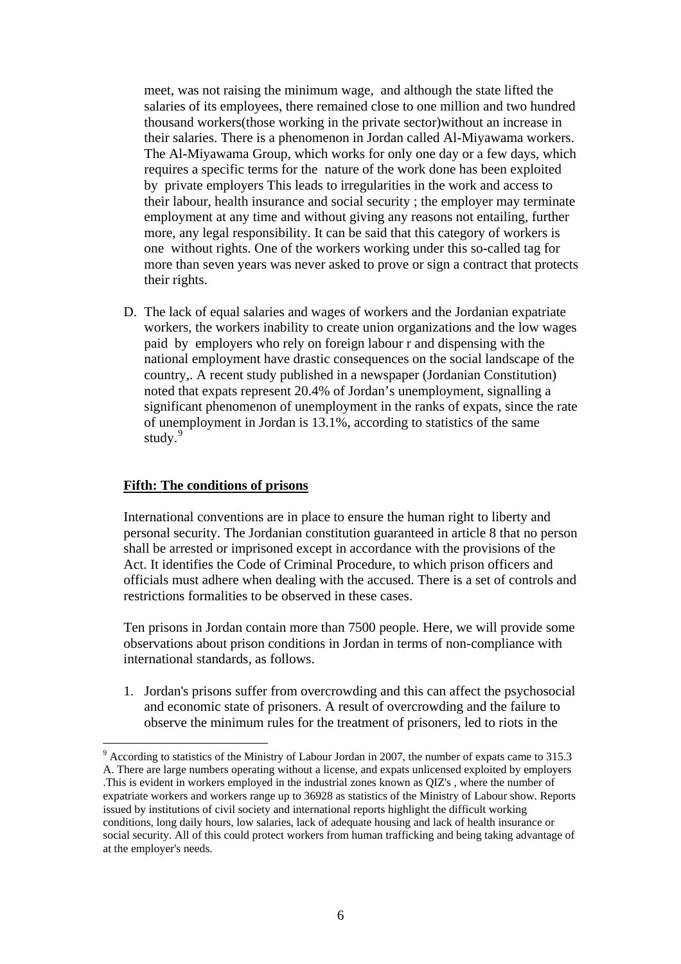meet, was not raising the minimum wage, and although the state lifted the salaries of its employees, there remained close to one million and two hundred thousand workers(those working in the private sector)without an increase in their salaries. There is a phenomenon in Jordan called Al-Miyawama workers. The Al-Miyawama Group, which works for only one day or a few days, which requires a specific terms for the nature of the work done has been exploited by private employers This leads to irregularities in the work and access to their labour, health insurance and social security ; the employer may terminate employment at any time and without giving any reasons not entailing, further more, any legal responsibility. It can be said that this category of workers is one without rights. One of the workers working under this so-called tag for more than seven years was never asked to prove or sign a contract that protects their rights.

D. The lack of equal salaries and wages of workers and the Jordanian expatriate workers, the workers inability to create union organizations and the low wages paid by employers who rely on foreign labour r and dispensing with the national employment have drastic consequences on the social landscape of the country,. A recent study published in a newspaper (Jordanian Constitution) noted that expats represent 20.4% of Jordan's unemployment, signalling a significant phenomenon of unemployment in the ranks of expats, since the rate of unemployment in Jordan is 13.1%, according to statistics of the same study.<sup>[9](#page-5-0)</sup>

#### **Fifth: The conditions of prisons**

 $\overline{a}$ 

International conventions are in place to ensure the human right to liberty and personal security. The Jordanian constitution guaranteed in article 8 that no person shall be arrested or imprisoned except in accordance with the provisions of the Act. It identifies the Code of Criminal Procedure, to which prison officers and officials must adhere when dealing with the accused. There is a set of controls and restrictions formalities to be observed in these cases.

Ten prisons in Jordan contain more than 7500 people. Here, we will provide some observations about prison conditions in Jordan in terms of non-compliance with international standards, as follows.

1. Jordan's prisons suffer from overcrowding and this can affect the psychosocial and economic state of prisoners. A result of overcrowding and the failure to observe the minimum rules for the treatment of prisoners, led to riots in the

<span id="page-5-0"></span> $9$  According to statistics of the Ministry of Labour Jordan in 2007, the number of expats came to 315.3 A. There are large numbers operating without a license, and expats unlicensed exploited by employers .This is evident in workers employed in the industrial zones known as QIZ's , where the number of expatriate workers and workers range up to 36928 as statistics of the Ministry of Labour show. Reports issued by institutions of civil society and international reports highlight the difficult working conditions, long daily hours, low salaries, lack of adequate housing and lack of health insurance or social security. All of this could protect workers from human trafficking and being taking advantage of at the employer's needs.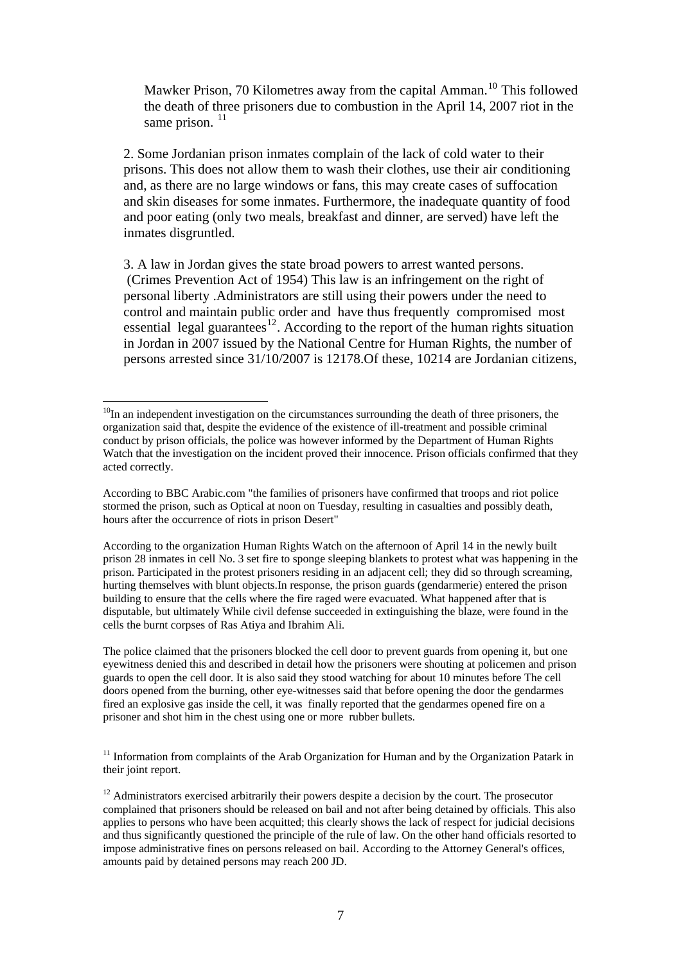Mawker Prison, 70 Kilometres away from the capital Amman.<sup>[10](#page-6-0)</sup> This followed the death of three prisoners due to combustion in the April 14, 2007 riot in the same prison.  $^{11}$  $^{11}$  $^{11}$ 

2. Some Jordanian prison inmates complain of the lack of cold water to their prisons. This does not allow them to wash their clothes, use their air conditioning and, as there are no large windows or fans, this may create cases of suffocation and skin diseases for some inmates. Furthermore, the inadequate quantity of food and poor eating (only two meals, breakfast and dinner, are served) have left the inmates disgruntled.

3. A law in Jordan gives the state broad powers to arrest wanted persons. (Crimes Prevention Act of 1954) This law is an infringement on the right of personal liberty .Administrators are still using their powers under the need to control and maintain public order and have thus frequently compromised most essential legal guarantees<sup>[12](#page-6-2)</sup>. According to the report of the human rights situation in Jordan in 2007 issued by the National Centre for Human Rights, the number of persons arrested since 31/10/2007 is 12178.Of these, 10214 are Jordanian citizens,

The police claimed that the prisoners blocked the cell door to prevent guards from opening it, but one eyewitness denied this and described in detail how the prisoners were shouting at policemen and prison guards to open the cell door. It is also said they stood watching for about 10 minutes before The cell doors opened from the burning, other eye-witnesses said that before opening the door the gendarmes fired an explosive gas inside the cell, it was finally reported that the gendarmes opened fire on a prisoner and shot him in the chest using one or more rubber bullets.

<span id="page-6-1"></span> $11$  Information from complaints of the Arab Organization for Human and by the Organization Patark in their joint report.

<span id="page-6-0"></span> $\overline{a}$  $10$ In an independent investigation on the circumstances surrounding the death of three prisoners, the organization said that, despite the evidence of the existence of ill-treatment and possible criminal conduct by prison officials, the police was however informed by the Department of Human Rights Watch that the investigation on the incident proved their innocence. Prison officials confirmed that they acted correctly.

According to BBC Arabic.com "the families of prisoners have confirmed that troops and riot police stormed the prison, such as Optical at noon on Tuesday, resulting in casualties and possibly death, hours after the occurrence of riots in prison Desert"

According to the organization Human Rights Watch on the afternoon of April 14 in the newly built prison 28 inmates in cell No. 3 set fire to sponge sleeping blankets to protest what was happening in the prison. Participated in the protest prisoners residing in an adjacent cell; they did so through screaming, hurting themselves with blunt objects.In response, the prison guards (gendarmerie) entered the prison building to ensure that the cells where the fire raged were evacuated. What happened after that is disputable, but ultimately While civil defense succeeded in extinguishing the blaze, were found in the cells the burnt corpses of Ras Atiya and Ibrahim Ali.

<span id="page-6-2"></span> $12$  Administrators exercised arbitrarily their powers despite a decision by the court. The prosecutor complained that prisoners should be released on bail and not after being detained by officials. This also applies to persons who have been acquitted; this clearly shows the lack of respect for judicial decisions and thus significantly questioned the principle of the rule of law. On the other hand officials resorted to impose administrative fines on persons released on bail. According to the Attorney General's offices, amounts paid by detained persons may reach 200 JD.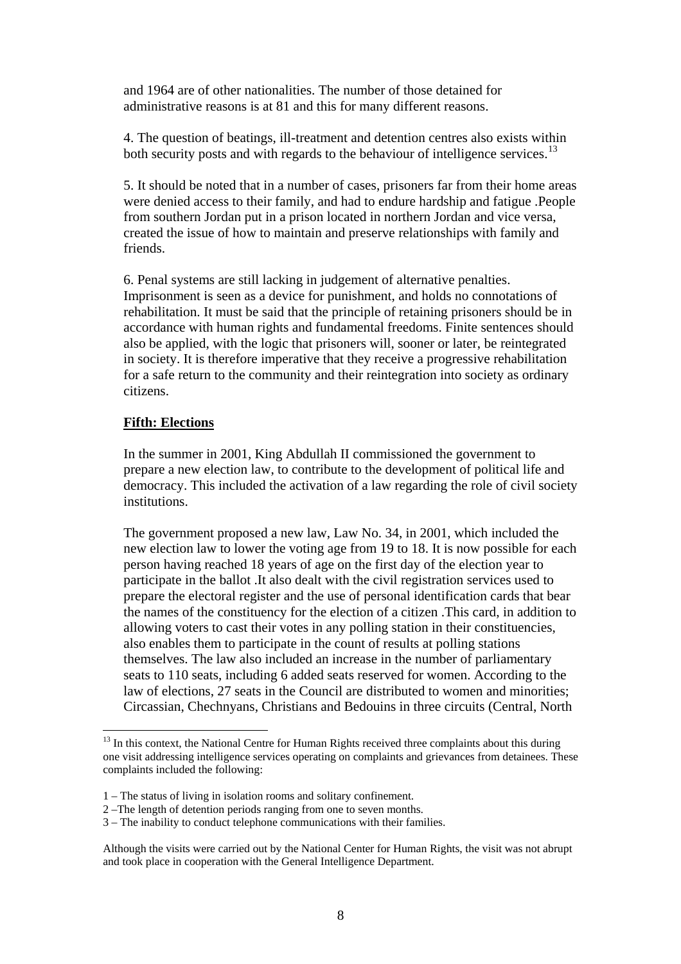and 1964 are of other nationalities. The number of those detained for administrative reasons is at 81 and this for many different reasons.

4. The question of beatings, ill-treatment and detention centres also exists within both security posts and with regards to the behaviour of intelligence services.<sup>[13](#page-7-0)</sup>

5. It should be noted that in a number of cases, prisoners far from their home areas were denied access to their family, and had to endure hardship and fatigue .People from southern Jordan put in a prison located in northern Jordan and vice versa, created the issue of how to maintain and preserve relationships with family and friends.

6. Penal systems are still lacking in judgement of alternative penalties. Imprisonment is seen as a device for punishment, and holds no connotations of rehabilitation. It must be said that the principle of retaining prisoners should be in accordance with human rights and fundamental freedoms. Finite sentences should also be applied, with the logic that prisoners will, sooner or later, be reintegrated in society. It is therefore imperative that they receive a progressive rehabilitation for a safe return to the community and their reintegration into society as ordinary citizens.

#### **Fifth: Elections**

 $\overline{a}$ 

In the summer in 2001, King Abdullah II commissioned the government to prepare a new election law, to contribute to the development of political life and democracy. This included the activation of a law regarding the role of civil society institutions.

The government proposed a new law, Law No. 34, in 2001, which included the new election law to lower the voting age from 19 to 18. It is now possible for each person having reached 18 years of age on the first day of the election year to participate in the ballot .It also dealt with the civil registration services used to prepare the electoral register and the use of personal identification cards that bear the names of the constituency for the election of a citizen .This card, in addition to allowing voters to cast their votes in any polling station in their constituencies, also enables them to participate in the count of results at polling stations themselves. The law also included an increase in the number of parliamentary seats to 110 seats, including 6 added seats reserved for women. According to the law of elections, 27 seats in the Council are distributed to women and minorities; Circassian, Chechnyans, Christians and Bedouins in three circuits (Central, North

<span id="page-7-0"></span><sup>&</sup>lt;sup>13</sup> In this context, the National Centre for Human Rights received three complaints about this during one visit addressing intelligence services operating on complaints and grievances from detainees. These complaints included the following:

<sup>1 –</sup> The status of living in isolation rooms and solitary confinement.

<sup>2 –</sup>The length of detention periods ranging from one to seven months.

<sup>3 –</sup> The inability to conduct telephone communications with their families.

Although the visits were carried out by the National Center for Human Rights, the visit was not abrupt and took place in cooperation with the General Intelligence Department.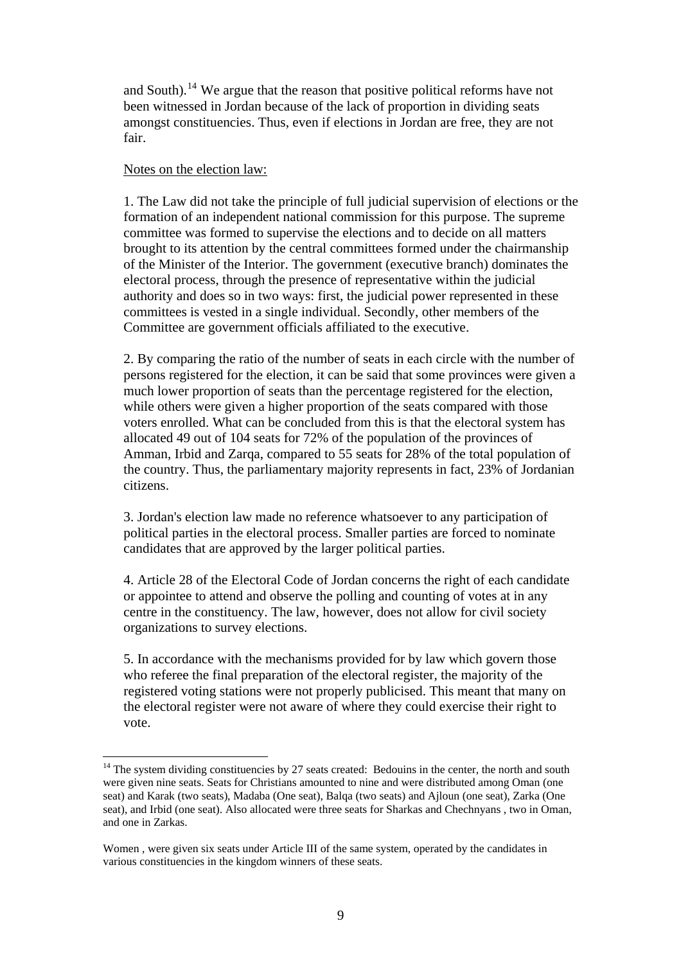and South).<sup>[14](#page-8-0)</sup> We argue that the reason that positive political reforms have not been witnessed in Jordan because of the lack of proportion in dividing seats amongst constituencies. Thus, even if elections in Jordan are free, they are not fair.

#### Notes on the election law:

 $\overline{a}$ 

1. The Law did not take the principle of full judicial supervision of elections or the formation of an independent national commission for this purpose. The supreme committee was formed to supervise the elections and to decide on all matters brought to its attention by the central committees formed under the chairmanship of the Minister of the Interior. The government (executive branch) dominates the electoral process, through the presence of representative within the judicial authority and does so in two ways: first, the judicial power represented in these committees is vested in a single individual. Secondly, other members of the Committee are government officials affiliated to the executive.

2. By comparing the ratio of the number of seats in each circle with the number of persons registered for the election, it can be said that some provinces were given a much lower proportion of seats than the percentage registered for the election, while others were given a higher proportion of the seats compared with those voters enrolled. What can be concluded from this is that the electoral system has allocated 49 out of 104 seats for 72% of the population of the provinces of Amman, Irbid and Zarqa, compared to 55 seats for 28% of the total population of the country. Thus, the parliamentary majority represents in fact, 23% of Jordanian citizens.

3. Jordan's election law made no reference whatsoever to any participation of political parties in the electoral process. Smaller parties are forced to nominate candidates that are approved by the larger political parties.

4. Article 28 of the Electoral Code of Jordan concerns the right of each candidate or appointee to attend and observe the polling and counting of votes at in any centre in the constituency. The law, however, does not allow for civil society organizations to survey elections.

5. In accordance with the mechanisms provided for by law which govern those who referee the final preparation of the electoral register, the majority of the registered voting stations were not properly publicised. This meant that many on the electoral register were not aware of where they could exercise their right to vote.

<span id="page-8-0"></span> $14$  The system dividing constituencies by 27 seats created: Bedouins in the center, the north and south were given nine seats. Seats for Christians amounted to nine and were distributed among Oman (one seat) and Karak (two seats), Madaba (One seat), Balqa (two seats) and Ajloun (one seat), Zarka (One seat), and Irbid (one seat). Also allocated were three seats for Sharkas and Chechnyans , two in Oman, and one in Zarkas.

Women , were given six seats under Article III of the same system, operated by the candidates in various constituencies in the kingdom winners of these seats.